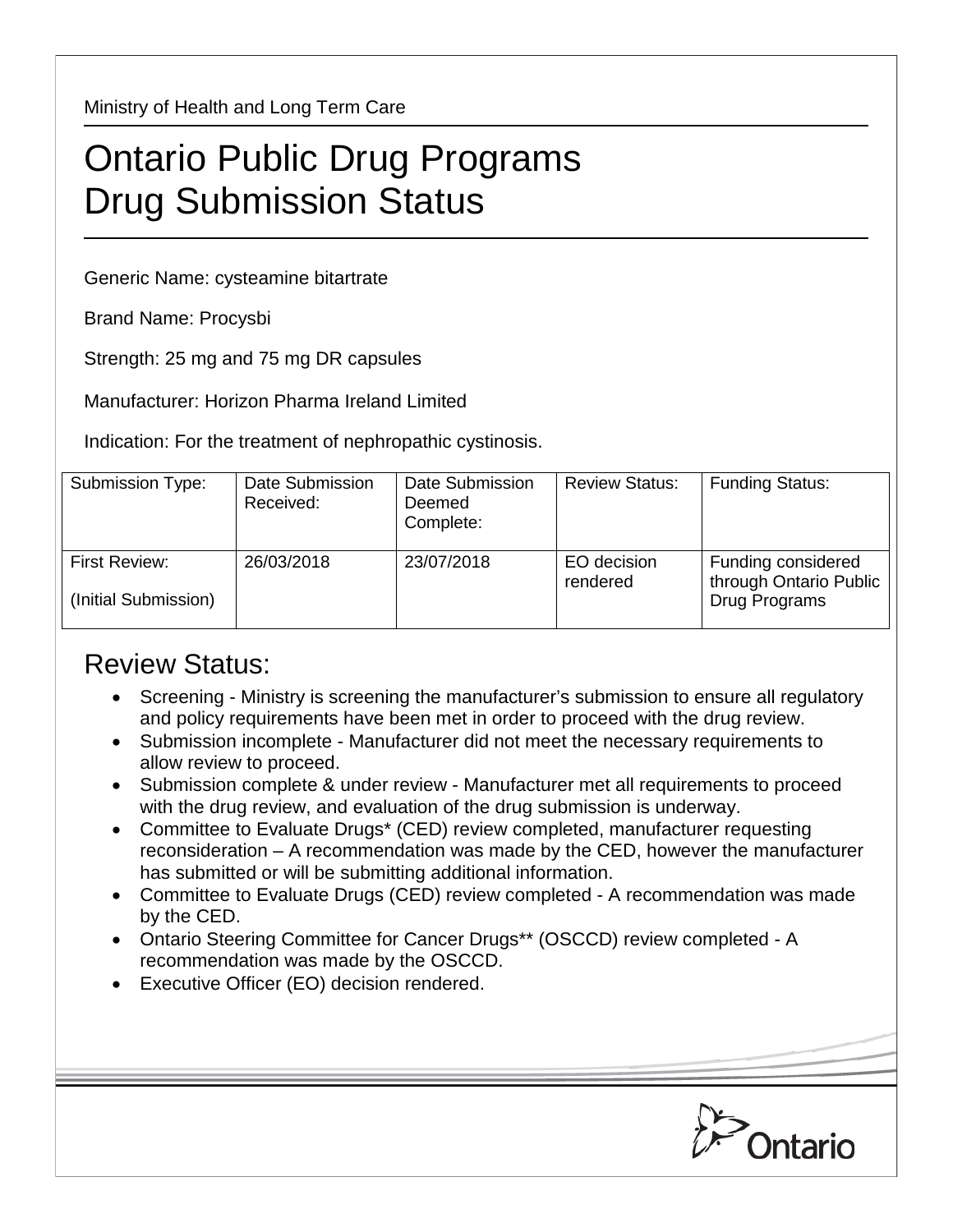Ministry of Health and Long Term Care

## Ontario Public Drug Programs Drug Submission Status

Generic Name: cysteamine bitartrate

Brand Name: Procysbi

Strength: 25 mg and 75 mg DR capsules

Manufacturer: Horizon Pharma Ireland Limited

Indication: For the treatment of nephropathic cystinosis.

| Submission Type:                      | Date Submission<br>Received: | Date Submission<br>Deemed<br>Complete: | <b>Review Status:</b>   | <b>Funding Status:</b>                                        |
|---------------------------------------|------------------------------|----------------------------------------|-------------------------|---------------------------------------------------------------|
| First Review:<br>(Initial Submission) | 26/03/2018                   | 23/07/2018                             | EO decision<br>rendered | Funding considered<br>through Ontario Public<br>Drug Programs |

## Review Status:

- Screening Ministry is screening the manufacturer's submission to ensure all regulatory and policy requirements have been met in order to proceed with the drug review.
- Submission incomplete Manufacturer did not meet the necessary requirements to allow review to proceed.
- Submission complete & under review Manufacturer met all requirements to proceed with the drug review, and evaluation of the drug submission is underway.
- Committee to Evaluate Drugs\* (CED) review completed, manufacturer requesting reconsideration – A recommendation was made by the CED, however the manufacturer has submitted or will be submitting additional information.
- Committee to Evaluate Drugs (CED) review completed A recommendation was made by the CED.
- Ontario Steering Committee for Cancer Drugs\*\* (OSCCD) review completed A recommendation was made by the OSCCD.
- Executive Officer (EO) decision rendered.